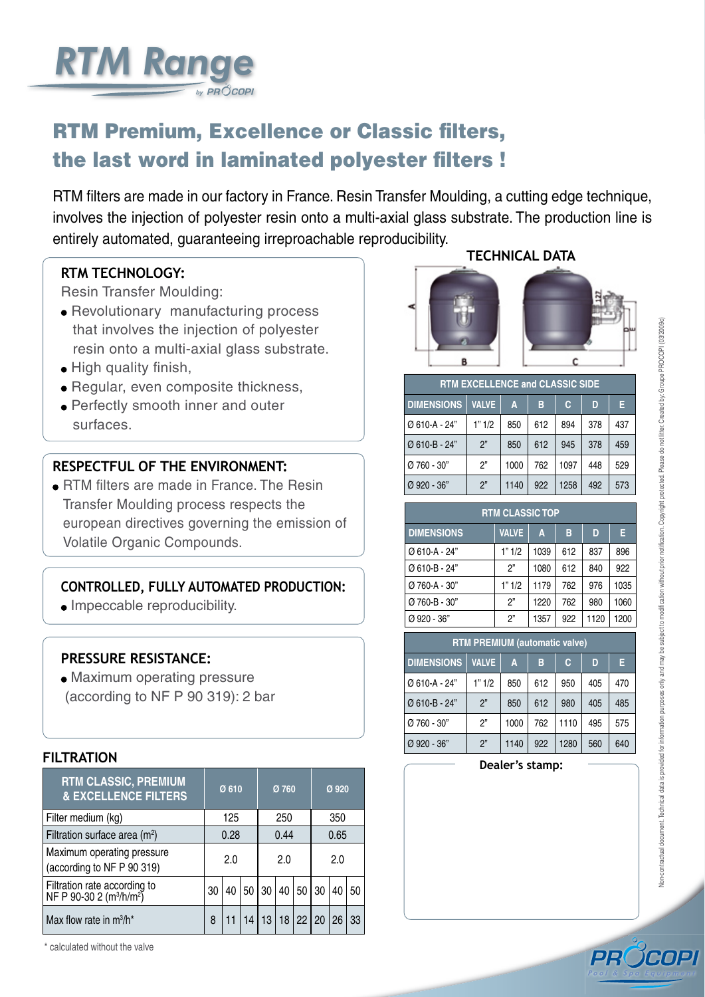# **RTM filters**

by  $PR$  $\overset{\circ}{O}$ COPI

**Sand filters** 



## **PREMIUM, EXCELLENCE OR CLASSIC,**  the choice for simple, reliable efficiency





**www.procopi.com**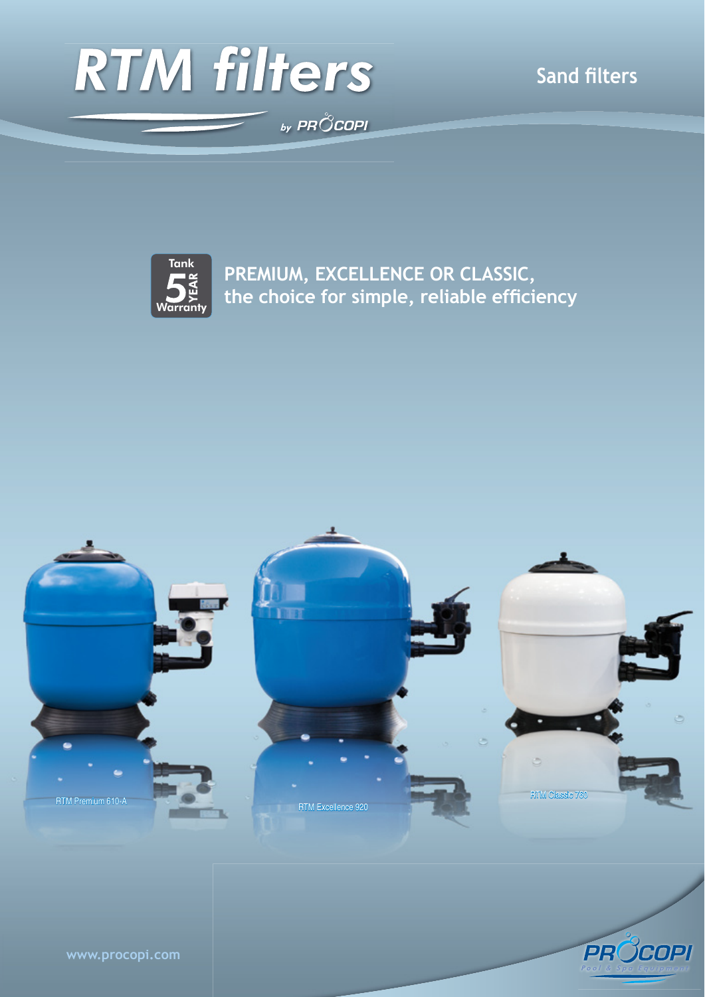

## **A comprehensive range to suit every pool**



## **RTM SIDE CLASSIC AND TOP FILTERS**

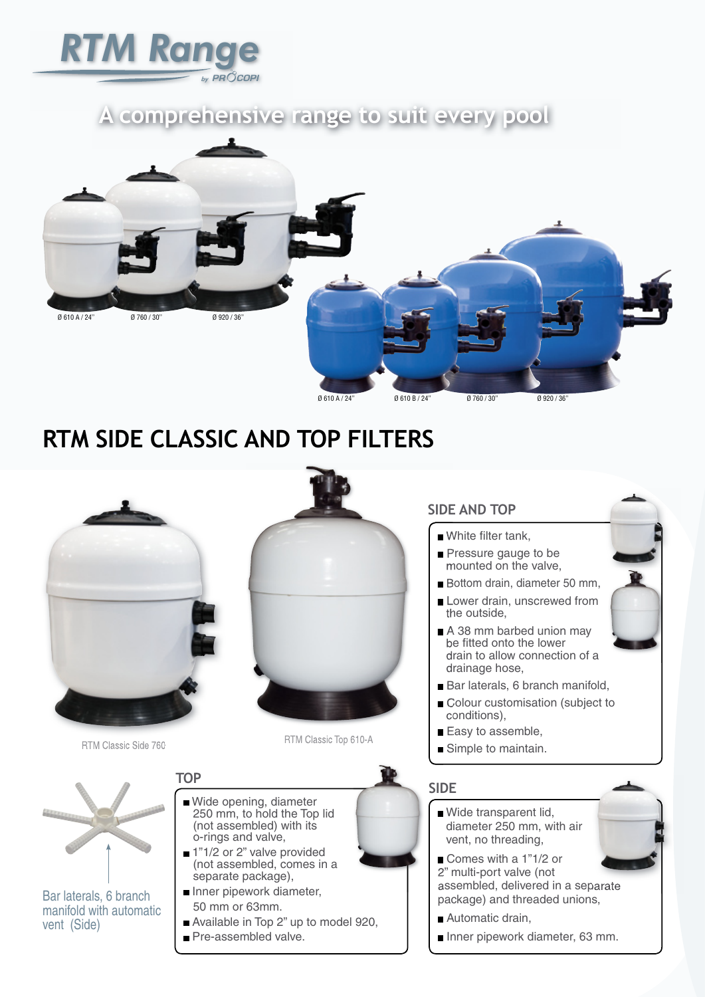# **RTM EXCELLENCE FILTER**

### **TECHNICAL DATA**

- $\blacksquare$  Blue filter tank,
- Wide transparent lid, diameter 250 mm, with air vent,
- Stainless steel case pressure gauge integrated into the lid,
- No threading on the lid,
- 1"1/2 or 2" multi-port valve with solvent unions, pre-mounted on the filter,
- Pipework 63 mm, with large radius elbow. fully removable,
- The upper manifold can be rotated by 90°to protect the pipes while adding the filter medium,
- Lower drain, diameter 50 mm,
- Lower drain strainer, unscrewed from the exterior,
- $\blacksquare$  A 38mm barbed union may be fitted onto the lower drain to allow connection of a drainage hose,
- $\blacksquare$  High linear flow rate laterals, 6 branch manifold,
- Colour personalisation (subject to conditions),
- Easy to assemble,
- Simple to maintain.

Easy 4000 automatic 6-way valve with timer and pressure gauge



#### **TECHNICAL DATA**

- **An RTM Excellence filter as described opposite**,
- An Easy 4000 automatic 6-way valve with a timer and pressure gauge,
- A check valve.

The check valve should be mounted on the waste outlet of the automatic valve to prevent the risk of leaks.



High flow rate laterals, 6 branch manifold. (RTM Excellence/Premium)



A wide transparent lid, diameter 250 mm with integrated pressure gauge to facilitate filling and monitorring procedures. (RTM Excellence/Premium)



Lower drain, diameter 50 mm.



Multi-port valve supplied with





Cut-out view of an RTM Excellence 760 filter